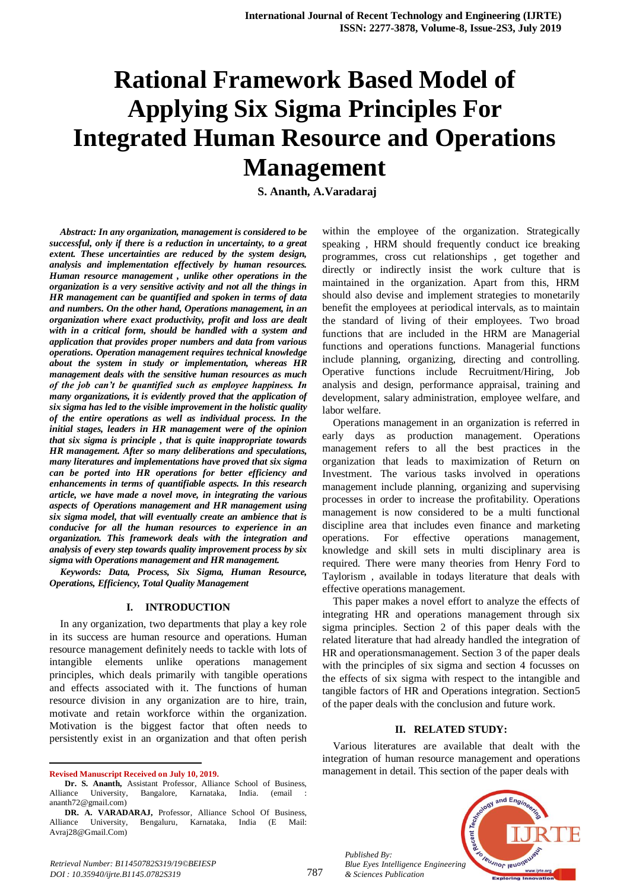# **Rational Framework Based Model of Applying Six Sigma Principles For Integrated Human Resource and Operations Management**

**S. Ananth, A.Varadaraj**

*Abstract: In any organization, management is considered to be successful, only if there is a reduction in uncertainty, to a great extent. These uncertainties are reduced by the system design, analysis and implementation effectively by human resources. Human resource management , unlike other operations in the organization is a very sensitive activity and not all the things in HR management can be quantified and spoken in terms of data and numbers. On the other hand, Operations management, in an organization where exact productivity, profit and loss are dealt with in a critical form, should be handled with a system and application that provides proper numbers and data from various operations. Operation management requires technical knowledge about the system in study or implementation, whereas HR management deals with the sensitive human resources as much of the job can't be quantified such as employee happiness. In many organizations, it is evidently proved that the application of six sigma has led to the visible improvement in the holistic quality of the entire operations as well as individual process. In the initial stages, leaders in HR management were of the opinion that six sigma is principle , that is quite inappropriate towards HR management. After so many deliberations and speculations, many literatures and implementations have proved that six sigma can be ported into HR operations for better efficiency and enhancements in terms of quantifiable aspects. In this research article, we have made a novel move, in integrating the various aspects of Operations management and HR management using six sigma model, that will eventually create an ambience that is conducive for all the human resources to experience in an organization. This framework deals with the integration and analysis of every step towards quality improvement process by six sigma with Operations management and HR management.*

*Keywords: Data, Process, Six Sigma, Human Resource, Operations, Efficiency, Total Quality Management*

#### **I. INTRODUCTION**

In any organization, two departments that play a key role in its success are human resource and operations. Human resource management definitely needs to tackle with lots of intangible elements unlike operations management principles, which deals primarily with tangible operations and effects associated with it. The functions of human resource division in any organization are to hire, train, motivate and retain workforce within the organization. Motivation is the biggest factor that often needs to persistently exist in an organization and that often perish

**Revised Manuscript Received on July 10, 2019.**

 $\overline{a}$ 

within the employee of the organization. Strategically speaking , HRM should frequently conduct ice breaking programmes, cross cut relationships , get together and directly or indirectly insist the work culture that is maintained in the organization. Apart from this, HRM should also devise and implement strategies to monetarily benefit the employees at periodical intervals, as to maintain the standard of living of their employees. Two broad functions that are included in the HRM are Managerial functions and operations functions. Managerial functions include planning, organizing, directing and controlling. Operative functions include Recruitment/Hiring, Job analysis and design, performance appraisal, training and development, salary administration, employee welfare, and labor welfare.

Operations management in an organization is referred in early days as production management. Operations management refers to all the best practices in the organization that leads to maximization of Return on Investment. The various tasks involved in operations management include planning, organizing and supervising processes in order to increase the profitability. Operations management is now considered to be a multi functional discipline area that includes even finance and marketing operations. For effective operations management, knowledge and skill sets in multi disciplinary area is required. There were many theories from Henry Ford to Taylorism , available in todays literature that deals with effective operations management.

This paper makes a novel effort to analyze the effects of integrating HR and operations management through six sigma principles. Section 2 of this paper deals with the related literature that had already handled the integration of HR and operationsmanagement. Section 3 of the paper deals with the principles of six sigma and section 4 focusses on the effects of six sigma with respect to the intangible and tangible factors of HR and Operations integration. Section5 of the paper deals with the conclusion and future work.

#### **II. RELATED STUDY:**

Various literatures are available that dealt with the integration of human resource management and operations management in detail. This section of the paper deals with



*Published By: Blue Eyes Intelligence Engineering & Sciences Publication* 

**Dr. S. Ananth,** Assistant Professor, Alliance School of Business, Alliance University, Bangalore, Karnataka, India. (email : ananth72@gmail.com)

**DR. A. VARADARAJ,** Professor, Alliance School Of Business, Alliance University, Bengaluru, Karnataka, India (E Mail: Avraj28@Gmail.Com)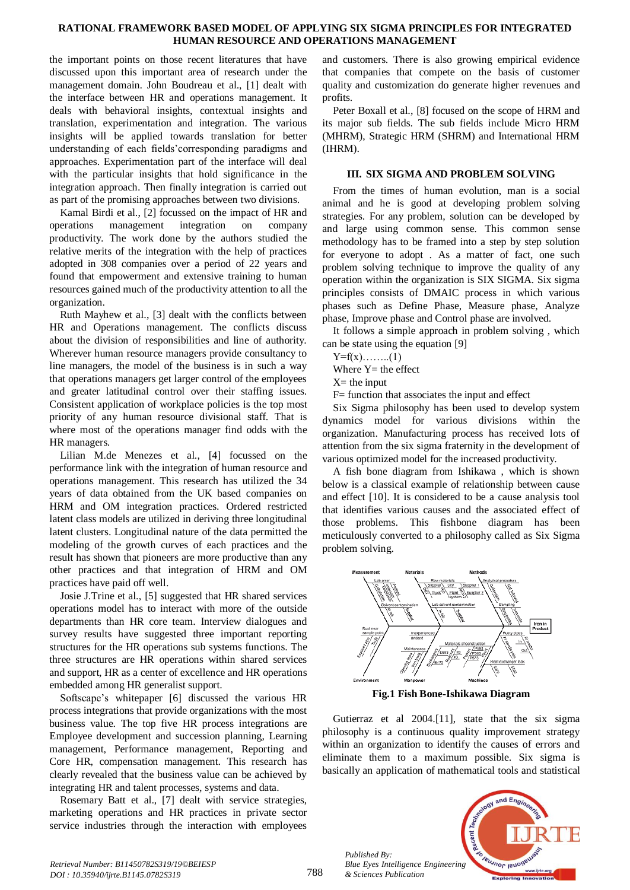#### **RATIONAL FRAMEWORK BASED MODEL OF APPLYING SIX SIGMA PRINCIPLES FOR INTEGRATED HUMAN RESOURCE AND OPERATIONS MANAGEMENT**

the important points on those recent literatures that have discussed upon this important area of research under the management domain. John Boudreau et al., [1] dealt with the interface between HR and operations management. It deals with behavioral insights, contextual insights and translation, experimentation and integration. The various insights will be applied towards translation for better understanding of each fields'corresponding paradigms and approaches. Experimentation part of the interface will deal with the particular insights that hold significance in the integration approach. Then finally integration is carried out as part of the promising approaches between two divisions.

Kamal Birdi et al., [2] focussed on the impact of HR and operations management integration on company productivity. The work done by the authors studied the relative merits of the integration with the help of practices adopted in 308 companies over a period of 22 years and found that empowerment and extensive training to human resources gained much of the productivity attention to all the organization.

Ruth Mayhew et al., [3] dealt with the conflicts between HR and Operations management. The conflicts discuss about the division of responsibilities and line of authority. Wherever human resource managers provide consultancy to line managers, the model of the business is in such a way that operations managers get larger control of the employees and greater latitudinal control over their staffing issues. Consistent application of workplace policies is the top most priority of any human resource divisional staff. That is where most of the operations manager find odds with the HR managers.

Lilian M.de Menezes et al., [4] focussed on the performance link with the integration of human resource and operations management. This research has utilized the 34 years of data obtained from the UK based companies on HRM and OM integration practices. Ordered restricted latent class models are utilized in deriving three longitudinal latent clusters. Longitudinal nature of the data permitted the modeling of the growth curves of each practices and the result has shown that pioneers are more productive than any other practices and that integration of HRM and OM practices have paid off well.

Josie J.Trine et al., [5] suggested that HR shared services operations model has to interact with more of the outside departments than HR core team. Interview dialogues and survey results have suggested three important reporting structures for the HR operations sub systems functions. The three structures are HR operations within shared services and support, HR as a center of excellence and HR operations embedded among HR generalist support.

Softscape's whitepaper [6] discussed the various HR process integrations that provide organizations with the most business value. The top five HR process integrations are Employee development and succession planning, Learning management, Performance management, Reporting and Core HR, compensation management. This research has clearly revealed that the business value can be achieved by integrating HR and talent processes, systems and data.

Rosemary Batt et al., [7] dealt with service strategies, marketing operations and HR practices in private sector service industries through the interaction with employees

and customers. There is also growing empirical evidence that companies that compete on the basis of customer quality and customization do generate higher revenues and profits.

Peter Boxall et al., [8] focused on the scope of HRM and its major sub fields. The sub fields include Micro HRM (MHRM), Strategic HRM (SHRM) and International HRM (IHRM).

## **III. SIX SIGMA AND PROBLEM SOLVING**

From the times of human evolution, man is a social animal and he is good at developing problem solving strategies. For any problem, solution can be developed by and large using common sense. This common sense methodology has to be framed into a step by step solution for everyone to adopt . As a matter of fact, one such problem solving technique to improve the quality of any operation within the organization is SIX SIGMA. Six sigma principles consists of DMAIC process in which various phases such as Define Phase, Measure phase, Analyze phase, Improve phase and Control phase are involved.

It follows a simple approach in problem solving , which can be state using the equation [9]

```
Y=f(x)……...(1)
```
Where  $Y=$  the effect

 $X=$  the input

F= function that associates the input and effect

Six Sigma philosophy has been used to develop system dynamics model for various divisions within the organization. Manufacturing process has received lots of attention from the six sigma fraternity in the development of various optimized model for the increased productivity.

A fish bone diagram from Ishikawa , which is shown below is a classical example of relationship between cause and effect [10]. It is considered to be a cause analysis tool that identifies various causes and the associated effect of those problems. This fishbone diagram has been meticulously converted to a philosophy called as Six Sigma problem solving.



**Fig.1 Fish Bone-Ishikawa Diagram**

Gutierraz et al 2004.[11], state that the six sigma philosophy is a continuous quality improvement strategy within an organization to identify the causes of errors and eliminate them to a maximum possible. Six sigma is basically an application of mathematical tools and statistical



*Published By: Blue Eyes Intelligence Engineering & Sciences Publication*